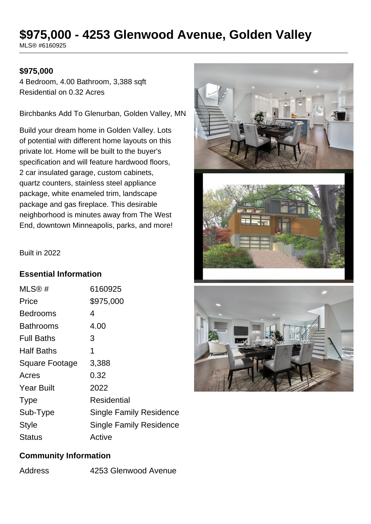# **\$975,000 - 4253 Glenwood Avenue, Golden Valley**

MLS® #6160925

### **\$975,000**

4 Bedroom, 4.00 Bathroom, 3,388 sqft Residential on 0.32 Acres

Birchbanks Add To Glenurban, Golden Valley, MN

Build your dream home in Golden Valley. Lots of potential with different home layouts on this private lot. Home will be built to the buyer's specification and will feature hardwood floors, 2 car insulated garage, custom cabinets, quartz counters, stainless steel appliance package, white enameled trim, landscape package and gas fireplace. This desirable neighborhood is minutes away from The West End, downtown Minneapolis, parks, and more!





Built in 2022

#### **Essential Information**

| MLS@#                 | 6160925                        |
|-----------------------|--------------------------------|
| Price                 | \$975,000                      |
| Bedrooms              | 4                              |
| <b>Bathrooms</b>      | 4.00                           |
| <b>Full Baths</b>     | 3                              |
| <b>Half Baths</b>     | 1                              |
| <b>Square Footage</b> | 3,388                          |
| Acres                 | 0.32                           |
| <b>Year Built</b>     | 2022                           |
| <b>Type</b>           | Residential                    |
| Sub-Type              | <b>Single Family Residence</b> |
| Style                 | <b>Single Family Residence</b> |
| Status                | Active                         |

# **Community Information**

| Address | 4253 Glenwood Avenue |
|---------|----------------------|
|         |                      |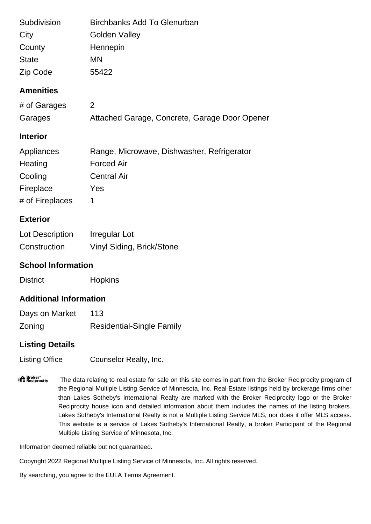| Subdivision                   | <b>Birchbanks Add To Glenurban</b>            |  |
|-------------------------------|-----------------------------------------------|--|
| City                          | <b>Golden Valley</b>                          |  |
| County                        | Hennepin                                      |  |
| <b>State</b>                  | <b>MN</b>                                     |  |
| Zip Code                      | 55422                                         |  |
| <b>Amenities</b>              |                                               |  |
| # of Garages                  | 2                                             |  |
| Garages                       | Attached Garage, Concrete, Garage Door Opener |  |
| <b>Interior</b>               |                                               |  |
| Appliances                    | Range, Microwave, Dishwasher, Refrigerator    |  |
| Heating                       | <b>Forced Air</b>                             |  |
| Cooling                       | <b>Central Air</b>                            |  |
| Fireplace                     | Yes                                           |  |
| # of Fireplaces               | 1                                             |  |
| <b>Exterior</b>               |                                               |  |
| Lot Description               | <b>Irregular Lot</b>                          |  |
| Construction                  | Vinyl Siding, Brick/Stone                     |  |
| <b>School Information</b>     |                                               |  |
| <b>District</b>               | <b>Hopkins</b>                                |  |
| <b>Additional Information</b> |                                               |  |

| Days on Market | 113                              |
|----------------|----------------------------------|
| Zoning         | <b>Residential-Single Family</b> |

## **Listing Details**

Listing Office Counselor Realty, Inc.

**Proker**<br>**Proker**  The data relating to real estate for sale on this site comes in part from the Broker Reciprocity program of the Regional Multiple Listing Service of Minnesota, Inc. Real Estate listings held by brokerage firms other than Lakes Sotheby's International Realty are marked with the Broker Reciprocity logo or the Broker Reciprocity house icon and detailed information about them includes the names of the listing brokers. Lakes Sotheby's International Realty is not a Multiple Listing Service MLS, nor does it offer MLS access. This website is a service of Lakes Sotheby's International Realty, a broker Participant of the Regional Multiple Listing Service of Minnesota, Inc.

Information deemed reliable but not guaranteed.

Copyright 2022 Regional Multiple Listing Service of Minnesota, Inc. All rights reserved.

By searching, you agree to the EULA Terms Agreement.